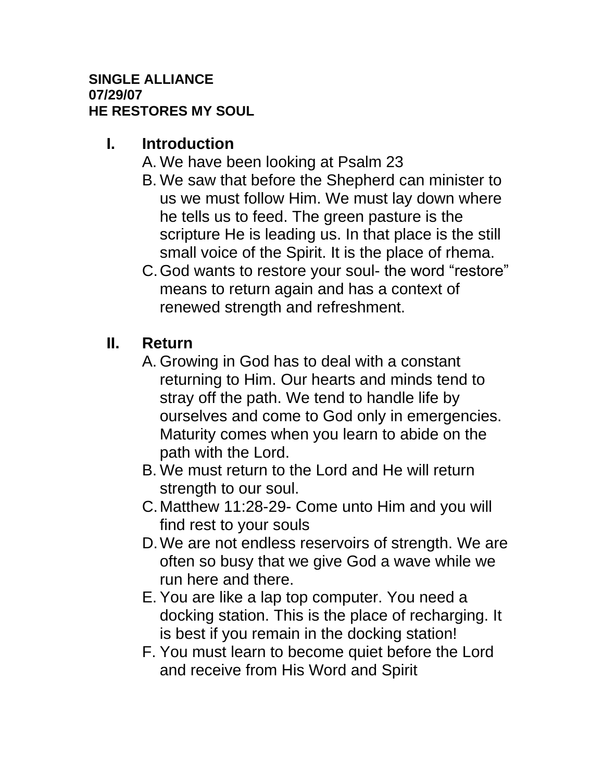#### **SINGLE ALLIANCE 07/29/07 HE RESTORES MY SOUL**

### **I. Introduction**

- A. We have been looking at Psalm 23
- B. We saw that before the Shepherd can minister to us we must follow Him. We must lay down where he tells us to feed. The green pasture is the scripture He is leading us. In that place is the still small voice of the Spirit. It is the place of rhema.
- C.God wants to restore your soul- the word "restore" means to return again and has a context of renewed strength and refreshment.

### **II. Return**

- A. Growing in God has to deal with a constant returning to Him. Our hearts and minds tend to stray off the path. We tend to handle life by ourselves and come to God only in emergencies. Maturity comes when you learn to abide on the path with the Lord.
- B. We must return to the Lord and He will return strength to our soul.
- C.Matthew 11:28-29- Come unto Him and you will find rest to your souls
- D.We are not endless reservoirs of strength. We are often so busy that we give God a wave while we run here and there.
- E. You are like a lap top computer. You need a docking station. This is the place of recharging. It is best if you remain in the docking station!
- F. You must learn to become quiet before the Lord and receive from His Word and Spirit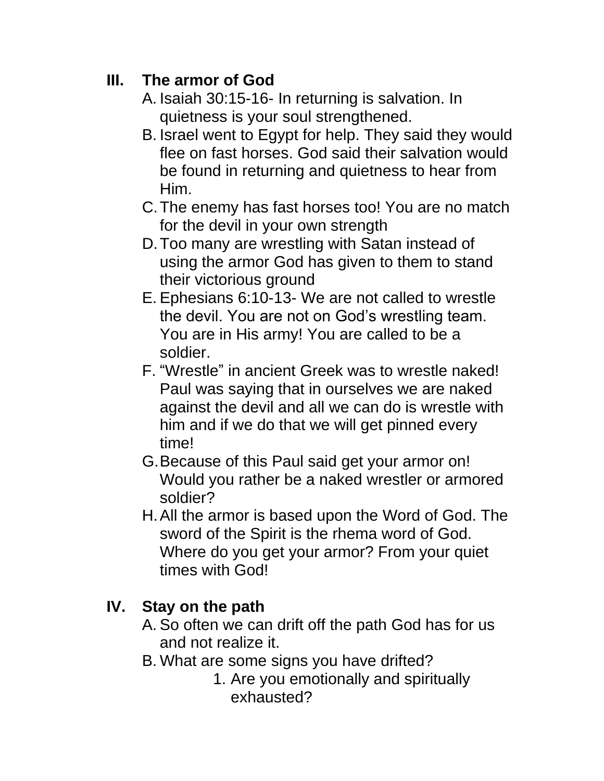## **III. The armor of God**

- A. Isaiah 30:15-16- In returning is salvation. In quietness is your soul strengthened.
- B. Israel went to Egypt for help. They said they would flee on fast horses. God said their salvation would be found in returning and quietness to hear from Him.
- C.The enemy has fast horses too! You are no match for the devil in your own strength
- D.Too many are wrestling with Satan instead of using the armor God has given to them to stand their victorious ground
- E. Ephesians 6:10-13- We are not called to wrestle the devil. You are not on God's wrestling team. You are in His army! You are called to be a soldier.
- F. "Wrestle" in ancient Greek was to wrestle naked! Paul was saying that in ourselves we are naked against the devil and all we can do is wrestle with him and if we do that we will get pinned every time!
- G.Because of this Paul said get your armor on! Would you rather be a naked wrestler or armored soldier?
- H.All the armor is based upon the Word of God. The sword of the Spirit is the rhema word of God. Where do you get your armor? From your quiet times with God!

## **IV. Stay on the path**

- A. So often we can drift off the path God has for us and not realize it.
- B. What are some signs you have drifted?
	- 1. Are you emotionally and spiritually exhausted?